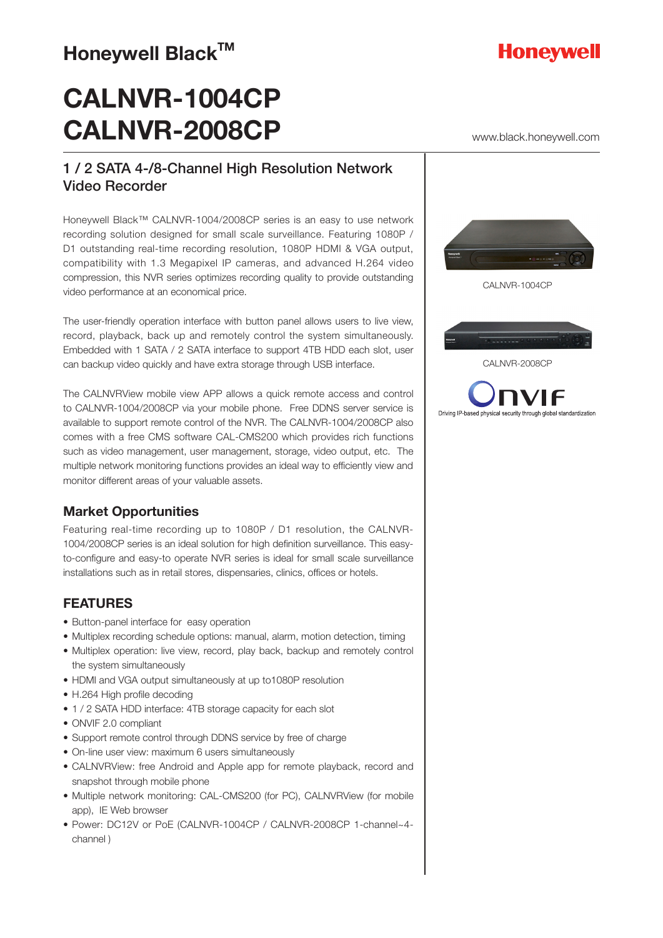### **Honeywell Black™**

### **CALNVR-1004CP CALNVR-2008CP**

### 1 / 2 SATA 4-/8-Channel High Resolution Network Video Recorder

Honeywell Black™ CALNVR-1004/2008CP series is an easy to use network recording solution designed for small scale surveillance. Featuring 1080P / D1 outstanding real-time recording resolution, 1080P HDMI & VGA output, compatibility with 1.3 Megapixel IP cameras, and advanced H.264 video compression, this NVR series optimizes recording quality to provide outstanding video performance at an economical price.

The user-friendly operation interface with button panel allows users to live view, record, playback, back up and remotely control the system simultaneously. Embedded with 1 SATA / 2 SATA interface to support 4TB HDD each slot, user can backup video quickly and have extra storage through USB interface.

The CALNVRView mobile view APP allows a quick remote access and control to CALNVR-1004/2008CP via your mobile phone. Free DDNS server service is available to support remote control of the NVR. The CALNVR-1004/2008CP also comes with a free CMS software CAL-CMS200 which provides rich functions such as video management, user management, storage, video output, etc. The multiple network monitoring functions provides an ideal way to efficiently view and monitor different areas of your valuable assets.

### **Market Opportunities**

Featuring real-time recording up to 1080P / D1 resolution, the CALNVR-1004/2008CP series is an ideal solution for high definition surveillance. This easyto-configure and easy-to operate NVR series is ideal for small scale surveillance installations such as in retail stores, dispensaries, clinics, offices or hotels.

### **FEATURES**

- Button-panel interface for easy operation
- Multiplex recording schedule options: manual, alarm, motion detection, timing
- Multiplex operation: live view, record, play back, backup and remotely control the system simultaneously
- HDMI and VGA output simultaneously at up to1080P resolution
- H.264 High profile decoding
- 1 / 2 SATA HDD interface: 4TB storage capacity for each slot
- ONVIF 2.0 compliant
- Support remote control through DDNS service by free of charge
- On-line user view: maximum 6 users simultaneously
- CALNVRView: free Android and Apple app for remote playback, record and snapshot through mobile phone
- Multiple network monitoring: CAL-CMS200 (for PC), CALNVRView (for mobile app), IE Web browser
- Power: DC12V or PoE (CALNVR-1004CP / CALNVR-2008CP 1-channel~4 channel )



www.black.honeywell.com



CALNVR-1004CP



CALNVR-2008CP



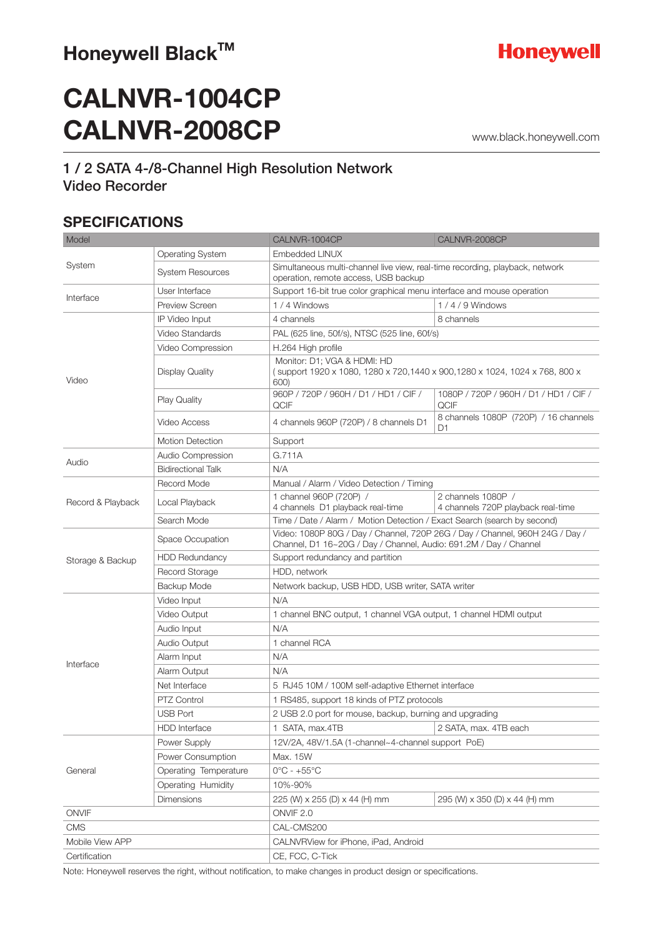### Honeywell Black™



## **CALNVR-1004CP CALNVR-2008CP**

www.black.honeywell.com

### 1 / 2 SATA 4-/8-Channel High Resolution Network Video Recorder

### **SPECIFICATIONS**

| Model             |                                                                                          | CALNVR-1004CP                                                                                                                                     | CALNVR-2008CP                                            |
|-------------------|------------------------------------------------------------------------------------------|---------------------------------------------------------------------------------------------------------------------------------------------------|----------------------------------------------------------|
| System            | <b>Operating System</b>                                                                  | <b>Embedded LINUX</b>                                                                                                                             |                                                          |
|                   | <b>System Resources</b>                                                                  | Simultaneous multi-channel live view, real-time recording, playback, network<br>operation, remote access, USB backup                              |                                                          |
|                   | User Interface<br>Support 16-bit true color graphical menu interface and mouse operation |                                                                                                                                                   |                                                          |
| Interface         | <b>Preview Screen</b>                                                                    | 1/4 Windows                                                                                                                                       | $1/4/9$ Windows                                          |
| Video             | IP Video Input                                                                           | 4 channels                                                                                                                                        | 8 channels                                               |
|                   | Video Standards                                                                          | PAL (625 line, 50f/s), NTSC (525 line, 60f/s)                                                                                                     |                                                          |
|                   | Video Compression                                                                        | H.264 High profile                                                                                                                                |                                                          |
|                   | <b>Display Quality</b>                                                                   | Monitor: D1: VGA & HDMI: HD<br>(support 1920 x 1080, 1280 x 720,1440 x 900,1280 x 1024, 1024 x 768, 800 x<br>600)                                 |                                                          |
|                   | <b>Play Quality</b>                                                                      | 960P / 720P / 960H / D1 / HD1 / CIF /<br>QCIF                                                                                                     | 1080P / 720P / 960H / D1 / HD1 / CIF /<br>QCIF           |
|                   | Video Access                                                                             | 4 channels 960P (720P) / 8 channels D1                                                                                                            | 8 channels 1080P (720P) / 16 channels<br>D1              |
|                   | <b>Motion Detection</b>                                                                  | Support                                                                                                                                           |                                                          |
| Audio             | Audio Compression                                                                        | G.711A                                                                                                                                            |                                                          |
|                   | <b>Bidirectional Talk</b>                                                                | N/A                                                                                                                                               |                                                          |
|                   | Record Mode                                                                              | Manual / Alarm / Video Detection / Timing                                                                                                         |                                                          |
| Record & Playback | Local Playback                                                                           | 1 channel 960P (720P) /<br>4 channels D1 playback real-time                                                                                       | 2 channels 1080P /<br>4 channels 720P playback real-time |
|                   | Search Mode                                                                              | Time / Date / Alarm / Motion Detection / Exact Search (search by second)                                                                          |                                                          |
| Storage & Backup  | Space Occupation                                                                         | Video: 1080P 80G / Day / Channel, 720P 26G / Day / Channel, 960H 24G / Day /<br>Channel, D1 16~20G / Day / Channel, Audio: 691.2M / Day / Channel |                                                          |
|                   | <b>HDD Redundancy</b>                                                                    | Support redundancy and partition                                                                                                                  |                                                          |
|                   | <b>Record Storage</b>                                                                    | HDD, network                                                                                                                                      |                                                          |
|                   | Backup Mode                                                                              | Network backup, USB HDD, USB writer, SATA writer                                                                                                  |                                                          |
| Interface         | Video Input                                                                              | N/A                                                                                                                                               |                                                          |
|                   | Video Output                                                                             | 1 channel BNC output, 1 channel VGA output, 1 channel HDMI output                                                                                 |                                                          |
|                   | Audio Input                                                                              | N/A                                                                                                                                               |                                                          |
|                   | Audio Output                                                                             | 1 channel RCA                                                                                                                                     |                                                          |
|                   | Alarm Input                                                                              | N/A                                                                                                                                               |                                                          |
|                   | Alarm Output                                                                             | N/A                                                                                                                                               |                                                          |
|                   | Net Interface                                                                            | 5 RJ45 10M / 100M self-adaptive Ethernet interface                                                                                                |                                                          |
|                   | PTZ Control                                                                              | 1 RS485, support 18 kinds of PTZ protocols                                                                                                        |                                                          |
|                   | <b>USB Port</b>                                                                          | 2 USB 2.0 port for mouse, backup, burning and upgrading                                                                                           |                                                          |
|                   | <b>HDD</b> Interface                                                                     | 1 SATA, max.4TB                                                                                                                                   | 2 SATA, max. 4TB each                                    |
| General           | Power Supply                                                                             | 12V/2A, 48V/1.5A (1-channel~4-channel support PoE)                                                                                                |                                                          |
|                   | Power Consumption                                                                        | Max. 15W                                                                                                                                          |                                                          |
|                   | Operating Temperature                                                                    | $0^{\circ}$ C - +55 $^{\circ}$ C                                                                                                                  |                                                          |
|                   | Operating Humidity                                                                       | 10%-90%                                                                                                                                           |                                                          |
|                   | <b>Dimensions</b>                                                                        | 225 (W) x 255 (D) x 44 (H) mm                                                                                                                     | 295 (W) x 350 (D) x 44 (H) mm                            |
| ONVIF             |                                                                                          | ONVIF <sub>2.0</sub>                                                                                                                              |                                                          |
| <b>CMS</b>        |                                                                                          | CAL-CMS200                                                                                                                                        |                                                          |
| Mobile View APP   |                                                                                          | CALNVRView for iPhone, iPad, Android                                                                                                              |                                                          |
| Certification     |                                                                                          | CE, FCC, C-Tick                                                                                                                                   |                                                          |

Note: Honeywell reserves the right, without notification, to make changes in product design or specifications.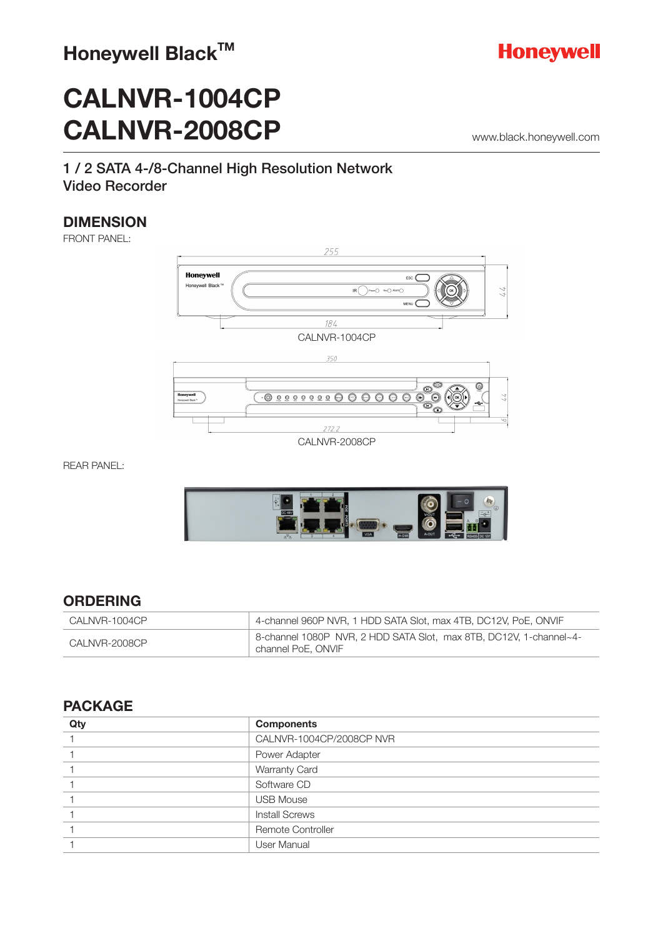

www.black.honeywell.com

# **CALNVR-1004CP CALNVR-2008CP**

### 1 / 2 SATA 4-/8-Channel High Resolution Network Video Recorder

### **DIMENSION**

FRONT PANEL:



REAR PANEL:



### **ORDERING**

| CALNVR-1004CP | 4-channel 960P NVR, 1 HDD SATA Slot, max 4TB, DC12V, PoE, ONVIF                          |
|---------------|------------------------------------------------------------------------------------------|
| CALNVR-2008CP | 8-channel 1080P NVR, 2 HDD SATA Slot, max 8TB, DC12V, 1-channel~4-<br>channel PoE, ONVIF |

#### **PACKAGE**

| Qty | <b>Components</b>        |
|-----|--------------------------|
|     | CALNVR-1004CP/2008CP NVR |
|     | Power Adapter            |
|     | <b>Warranty Card</b>     |
|     | Software CD              |
|     | <b>USB Mouse</b>         |
|     | <b>Install Screws</b>    |
|     | <b>Remote Controller</b> |
|     | <b>User Manual</b>       |